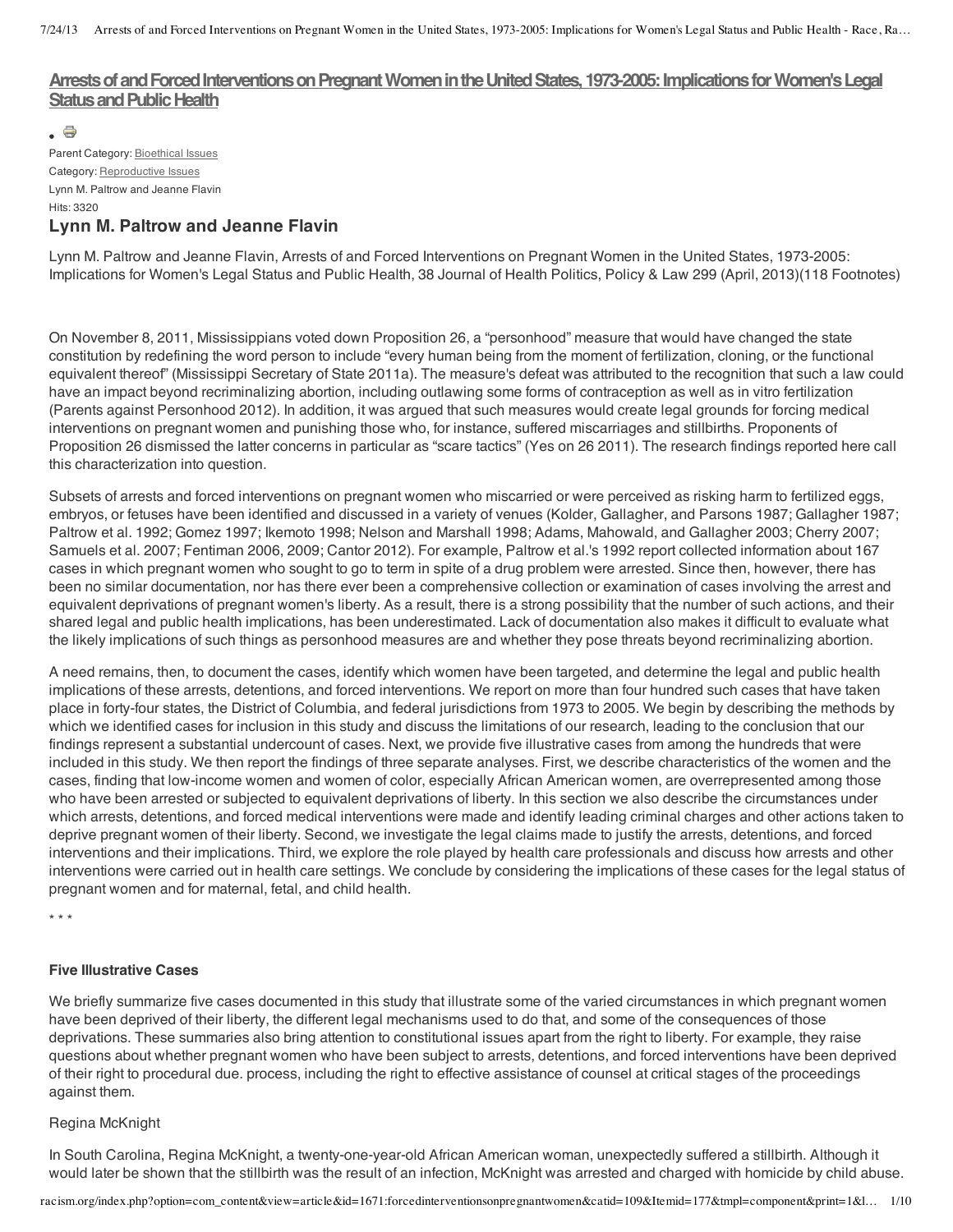$\cdot$   $\oplus$ Parent Category: [Bioethical](http://racism.org/index.php?option=com_content&view=category&id=85&Itemid=177) Issues Category: [Reproductive](http://racism.org/index.php?option=com_content&view=category&id=109&Itemid=177) Issues Lynn M. Paltrow and Jeanne Flavin Hits: 3320 **Lynn M. Paltrow and Jeanne Flavin**

Lynn M. Paltrow and Jeanne Flavin, Arrests of and Forced Interventions on Pregnant Women in the United States, 1973-2005: Implications for Women's Legal Status and Public Health, 38 Journal of Health Politics, Policy & Law 299 (April, 2013)(118 Footnotes)

On November 8, 2011, Mississippians voted down Proposition 26, a "personhood" measure that would have changed the state constitution by redefining the word person to include "every human being from the moment of fertilization, cloning, or the functional equivalent thereof" (Mississippi Secretary of State 2011a). The measure's defeat was attributed to the recognition that such a law could have an impact beyond recriminalizing abortion, including outlawing some forms of contraception as well as in vitro fertilization (Parents against Personhood 2012). In addition, it was argued that such measures would create legal grounds for forcing medical interventions on pregnant women and punishing those who, for instance, suffered miscarriages and stillbirths. Proponents of Proposition 26 dismissed the latter concerns in particular as "scare tactics" (Yes on 26 2011). The research findings reported here call this characterization into question.

Subsets of arrests and forced interventions on pregnant women who miscarried or were perceived as risking harm to fertilized eggs, embryos, or fetuses have been identified and discussed in a variety of venues (Kolder, Gallagher, and Parsons 1987; Gallagher 1987; Paltrow et al. 1992; Gomez 1997; Ikemoto 1998; Nelson and Marshall 1998; Adams, Mahowald, and Gallagher 2003; Cherry 2007; Samuels et al. 2007; Fentiman 2006, 2009; Cantor 2012). For example, Paltrow et al.'s 1992 report collected information about 167 cases in which pregnant women who sought to go to term in spite of a drug problem were arrested. Since then, however, there has been no similar documentation, nor has there ever been a comprehensive collection or examination of cases involving the arrest and equivalent deprivations of pregnant women's liberty. As a result, there is a strong possibility that the number of such actions, and their shared legal and public health implications, has been underestimated. Lack of documentation also makes it difficult to evaluate what the likely implications of such things as personhood measures are and whether they pose threats beyond recriminalizing abortion.

A need remains, then, to document the cases, identify which women have been targeted, and determine the legal and public health implications of these arrests, detentions, and forced interventions. We report on more than four hundred such cases that have taken place in forty-four states, the District of Columbia, and federal jurisdictions from 1973 to 2005. We begin by describing the methods by which we identified cases for inclusion in this study and discuss the limitations of our research, leading to the conclusion that our findings represent a substantial undercount of cases. Next, we provide five illustrative cases from among the hundreds that were included in this study. We then report the findings of three separate analyses. First, we describe characteristics of the women and the cases, finding that low-income women and women of color, especially African American women, are overrepresented among those who have been arrested or subjected to equivalent deprivations of liberty. In this section we also describe the circumstances under which arrests, detentions, and forced medical interventions were made and identify leading criminal charges and other actions taken to deprive pregnant women of their liberty. Second, we investigate the legal claims made to justify the arrests, detentions, and forced interventions and their implications. Third, we explore the role played by health care professionals and discuss how arrests and other interventions were carried out in health care settings. We conclude by considering the implications of these cases for the legal status of pregnant women and for maternal, fetal, and child health.

\* \* \*

# **Five Illustrative Cases**

We briefly summarize five cases documented in this study that illustrate some of the varied circumstances in which pregnant women have been deprived of their liberty, the different legal mechanisms used to do that, and some of the consequences of those deprivations. These summaries also bring attention to constitutional issues apart from the right to liberty. For example, they raise questions about whether pregnant women who have been subject to arrests, detentions, and forced interventions have been deprived of their right to procedural due. process, including the right to effective assistance of counsel at critical stages of the proceedings against them.

#### Regina McKnight

In South Carolina, Regina McKnight, a twenty-one-year-old African American woman, unexpectedly suffered a stillbirth. Although it would later be shown that the stillbirth was the result of an infection, McKnight was arrested and charged with homicide by child abuse.

racism.org/index.php?option=com\_content&view=article&id=1671:forcedinterventionsonpregnantwomen&catid=109&Itemid=177&tmpl=component&print=1&l… 1/10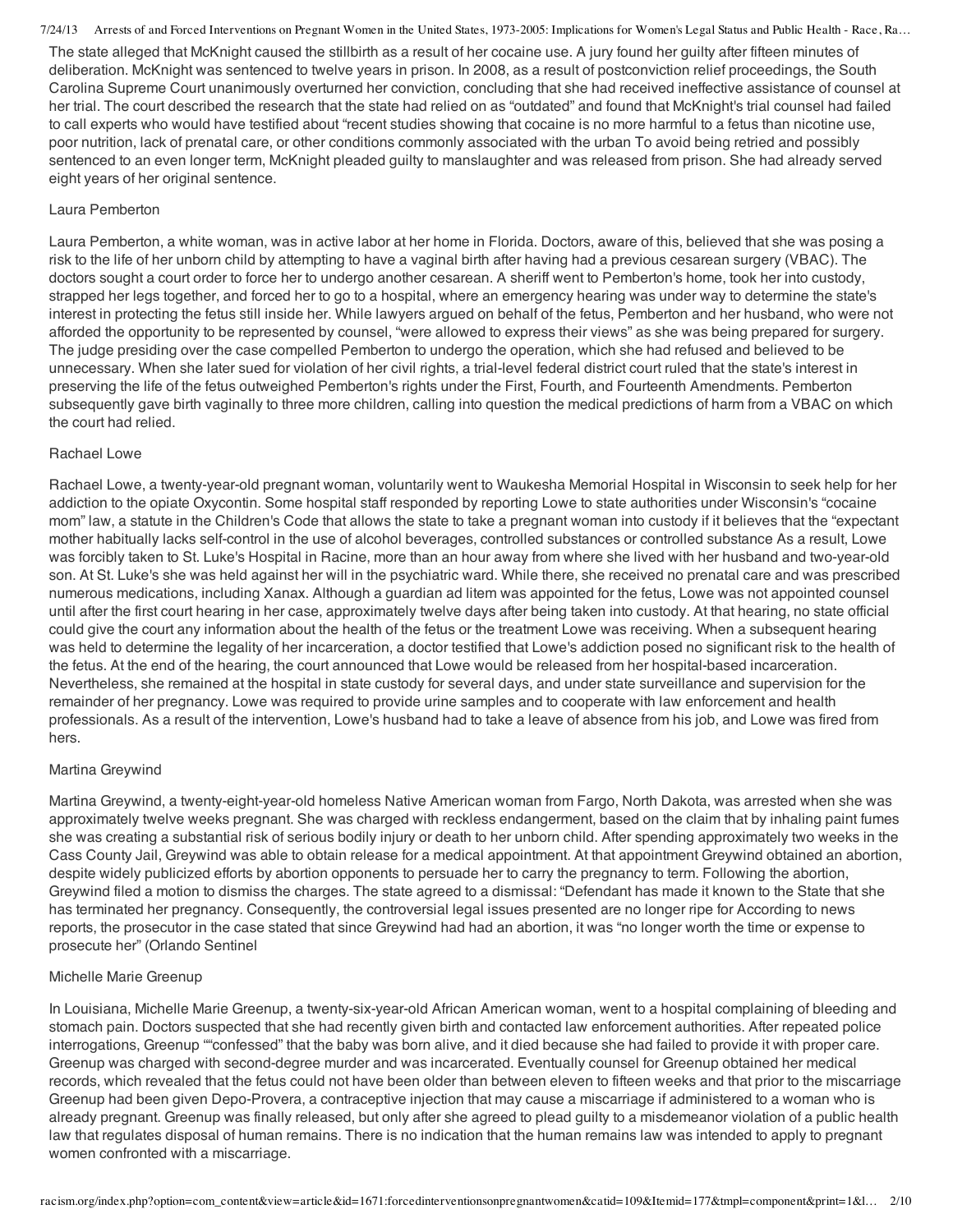The state alleged that McKnight caused the stillbirth as a result of her cocaine use. A jury found her guilty after fifteen minutes of deliberation. McKnight was sentenced to twelve years in prison. In 2008, as a result of postconviction relief proceedings, the South Carolina Supreme Court unanimously overturned her conviction, concluding that she had received ineffective assistance of counsel at her trial. The court described the research that the state had relied on as "outdated" and found that McKnight's trial counsel had failed to call experts who would have testified about "recent studies showing that cocaine is no more harmful to a fetus than nicotine use, poor nutrition, lack of prenatal care, or other conditions commonly associated with the urban To avoid being retried and possibly sentenced to an even longer term, McKnight pleaded guilty to manslaughter and was released from prison. She had already served eight years of her original sentence.

#### Laura Pemberton

Laura Pemberton, a white woman, was in active labor at her home in Florida. Doctors, aware of this, believed that she was posing a risk to the life of her unborn child by attempting to have a vaginal birth after having had a previous cesarean surgery (VBAC). The doctors sought a court order to force her to undergo another cesarean. A sheriff went to Pemberton's home, took her into custody, strapped her legs together, and forced her to go to a hospital, where an emergency hearing was under way to determine the state's interest in protecting the fetus still inside her. While lawyers argued on behalf of the fetus, Pemberton and her husband, who were not afforded the opportunity to be represented by counsel, "were allowed to express their views" as she was being prepared for surgery. The judge presiding over the case compelled Pemberton to undergo the operation, which she had refused and believed to be unnecessary. When she later sued for violation of her civil rights, a trial-level federal district court ruled that the state's interest in preserving the life of the fetus outweighed Pemberton's rights under the First, Fourth, and Fourteenth Amendments. Pemberton subsequently gave birth vaginally to three more children, calling into question the medical predictions of harm from a VBAC on which the court had relied.

#### Rachael Lowe

Rachael Lowe, a twenty-year-old pregnant woman, voluntarily went to Waukesha Memorial Hospital in Wisconsin to seek help for her addiction to the opiate Oxycontin. Some hospital staff responded by reporting Lowe to state authorities under Wisconsin's "cocaine mom" law, a statute in the Children's Code that allows the state to take a pregnant woman into custody if it believes that the "expectant mother habitually lacks self-control in the use of alcohol beverages, controlled substances or controlled substance As a result, Lowe was forcibly taken to St. Luke's Hospital in Racine, more than an hour away from where she lived with her husband and two-year-old son. At St. Luke's she was held against her will in the psychiatric ward. While there, she received no prenatal care and was prescribed numerous medications, including Xanax. Although a guardian ad litem was appointed for the fetus, Lowe was not appointed counsel until after the first court hearing in her case, approximately twelve days after being taken into custody. At that hearing, no state official could give the court any information about the health of the fetus or the treatment Lowe was receiving. When a subsequent hearing was held to determine the legality of her incarceration, a doctor testified that Lowe's addiction posed no significant risk to the health of the fetus. At the end of the hearing, the court announced that Lowe would be released from her hospital-based incarceration. Nevertheless, she remained at the hospital in state custody for several days, and under state surveillance and supervision for the remainder of her pregnancy. Lowe was required to provide urine samples and to cooperate with law enforcement and health professionals. As a result of the intervention, Lowe's husband had to take a leave of absence from his job, and Lowe was fired from hers.

#### Martina Greywind

Martina Greywind, a twenty-eight-year-old homeless Native American woman from Fargo, North Dakota, was arrested when she was approximately twelve weeks pregnant. She was charged with reckless endangerment, based on the claim that by inhaling paint fumes she was creating a substantial risk of serious bodily injury or death to her unborn child. After spending approximately two weeks in the Cass County Jail, Greywind was able to obtain release for a medical appointment. At that appointment Greywind obtained an abortion, despite widely publicized efforts by abortion opponents to persuade her to carry the pregnancy to term. Following the abortion, Greywind filed a motion to dismiss the charges. The state agreed to a dismissal: "Defendant has made it known to the State that she has terminated her pregnancy. Consequently, the controversial legal issues presented are no longer ripe for According to news reports, the prosecutor in the case stated that since Greywind had had an abortion, it was "no longer worth the time or expense to prosecute her" (Orlando Sentinel

#### Michelle Marie Greenup

In Louisiana, Michelle Marie Greenup, a twenty-six-year-old African American woman, went to a hospital complaining of bleeding and stomach pain. Doctors suspected that she had recently given birth and contacted law enforcement authorities. After repeated police interrogations, Greenup ""confessed" that the baby was born alive, and it died because she had failed to provide it with proper care. Greenup was charged with second-degree murder and was incarcerated. Eventually counsel for Greenup obtained her medical records, which revealed that the fetus could not have been older than between eleven to fifteen weeks and that prior to the miscarriage Greenup had been given Depo-Provera, a contraceptive injection that may cause a miscarriage if administered to a woman who is already pregnant. Greenup was finally released, but only after she agreed to plead guilty to a misdemeanor violation of a public health law that regulates disposal of human remains. There is no indication that the human remains law was intended to apply to pregnant women confronted with a miscarriage.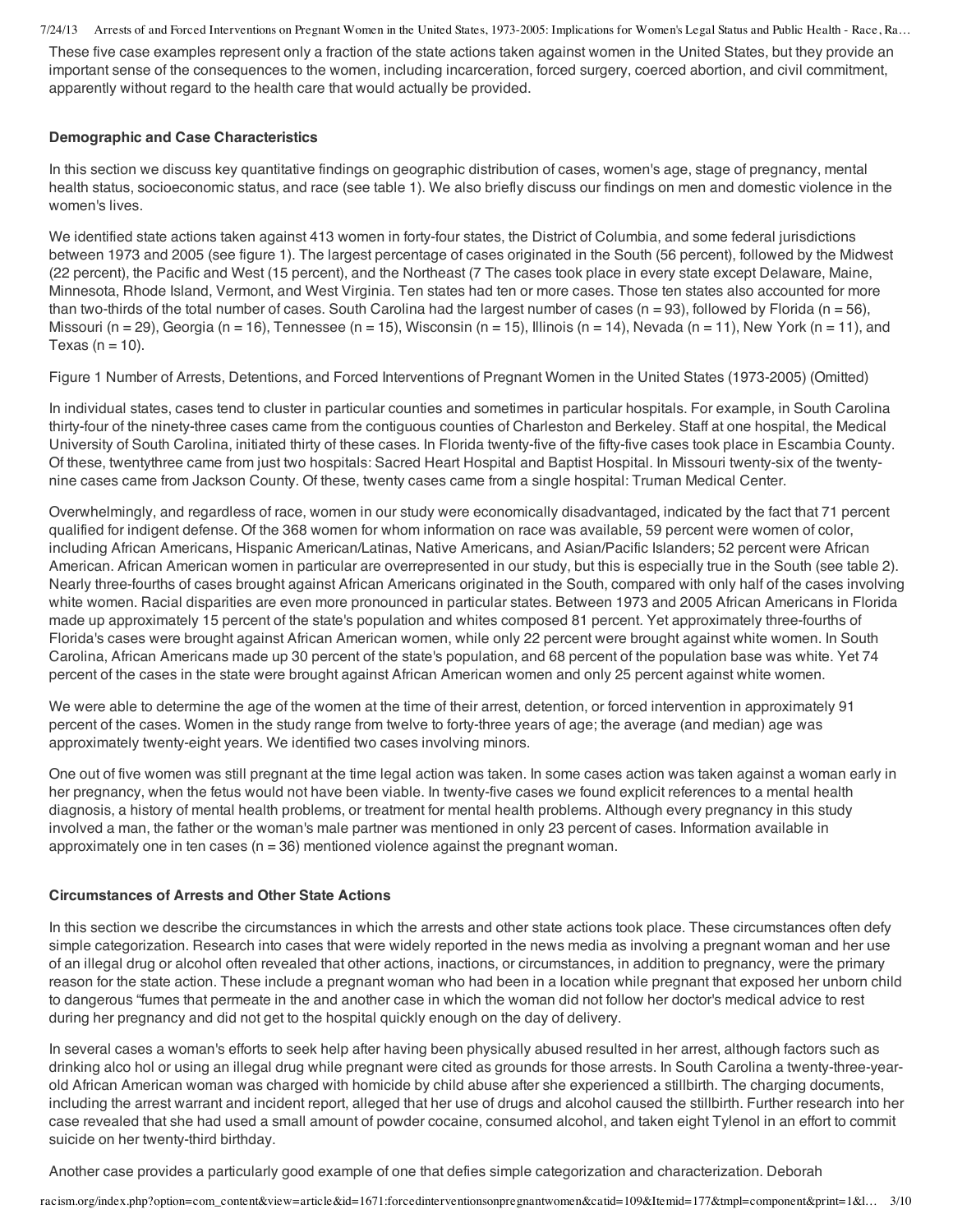These five case examples represent only a fraction of the state actions taken against women in the United States, but they provide an important sense of the consequences to the women, including incarceration, forced surgery, coerced abortion, and civil commitment, apparently without regard to the health care that would actually be provided.

# **Demographic and Case Characteristics**

In this section we discuss key quantitative findings on geographic distribution of cases, women's age, stage of pregnancy, mental health status, socioeconomic status, and race (see table 1). We also briefly discuss our findings on men and domestic violence in the women's lives.

We identified state actions taken against 413 women in forty-four states, the District of Columbia, and some federal jurisdictions between 1973 and 2005 (see figure 1). The largest percentage of cases originated in the South (56 percent), followed by the Midwest (22 percent), the Pacific and West (15 percent), and the Northeast (7 The cases took place in every state except Delaware, Maine, Minnesota, Rhode Island, Vermont, and West Virginia. Ten states had ten or more cases. Those ten states also accounted for more than two-thirds of the total number of cases. South Carolina had the largest number of cases (n = 93), followed by Florida (n = 56), Missouri (n = 29), Georgia (n = 16), Tennessee (n = 15), Wisconsin (n = 15), Illinois (n = 14), Nevada (n = 11), New York (n = 11), and Texas  $(n = 10)$ .

Figure 1 Number of Arrests, Detentions, and Forced Interventions of Pregnant Women in the United States (1973-2005) (Omitted)

In individual states, cases tend to cluster in particular counties and sometimes in particular hospitals. For example, in South Carolina thirty-four of the ninety-three cases came from the contiguous counties of Charleston and Berkeley. Staff at one hospital, the Medical University of South Carolina, initiated thirty of these cases. In Florida twenty-five of the fifty-five cases took place in Escambia County. Of these, twentythree came from just two hospitals: Sacred Heart Hospital and Baptist Hospital. In Missouri twenty-six of the twentynine cases came from Jackson County. Of these, twenty cases came from a single hospital: Truman Medical Center.

Overwhelmingly, and regardless of race, women in our study were economically disadvantaged, indicated by the fact that 71 percent qualified for indigent defense. Of the 368 women for whom information on race was available, 59 percent were women of color, including African Americans, Hispanic American/Latinas, Native Americans, and Asian/Pacific Islanders; 52 percent were African American. African American women in particular are overrepresented in our study, but this is especially true in the South (see table 2). Nearly three-fourths of cases brought against African Americans originated in the South, compared with only half of the cases involving white women. Racial disparities are even more pronounced in particular states. Between 1973 and 2005 African Americans in Florida made up approximately 15 percent of the state's population and whites composed 81 percent. Yet approximately three-fourths of Florida's cases were brought against African American women, while only 22 percent were brought against white women. In South Carolina, African Americans made up 30 percent of the state's population, and 68 percent of the population base was white. Yet 74 percent of the cases in the state were brought against African American women and only 25 percent against white women.

We were able to determine the age of the women at the time of their arrest, detention, or forced intervention in approximately 91 percent of the cases. Women in the study range from twelve to forty-three years of age; the average (and median) age was approximately twenty-eight years. We identified two cases involving minors.

One out of five women was still pregnant at the time legal action was taken. In some cases action was taken against a woman early in her pregnancy, when the fetus would not have been viable. In twenty-five cases we found explicit references to a mental health diagnosis, a history of mental health problems, or treatment for mental health problems. Although every pregnancy in this study involved a man, the father or the woman's male partner was mentioned in only 23 percent of cases. Information available in approximately one in ten cases  $(n = 36)$  mentioned violence against the pregnant woman.

# **Circumstances of Arrests and Other State Actions**

In this section we describe the circumstances in which the arrests and other state actions took place. These circumstances often defy simple categorization. Research into cases that were widely reported in the news media as involving a pregnant woman and her use of an illegal drug or alcohol often revealed that other actions, inactions, or circumstances, in addition to pregnancy, were the primary reason for the state action. These include a pregnant woman who had been in a location while pregnant that exposed her unborn child to dangerous "fumes that permeate in the and another case in which the woman did not follow her doctor's medical advice to rest during her pregnancy and did not get to the hospital quickly enough on the day of delivery.

In several cases a woman's efforts to seek help after having been physically abused resulted in her arrest, although factors such as drinking alco hol or using an illegal drug while pregnant were cited as grounds for those arrests. In South Carolina a twenty-three-yearold African American woman was charged with homicide by child abuse after she experienced a stillbirth. The charging documents, including the arrest warrant and incident report, alleged that her use of drugs and alcohol caused the stillbirth. Further research into her case revealed that she had used a small amount of powder cocaine, consumed alcohol, and taken eight Tylenol in an effort to commit suicide on her twenty-third birthday.

Another case provides a particularly good example of one that defies simple categorization and characterization. Deborah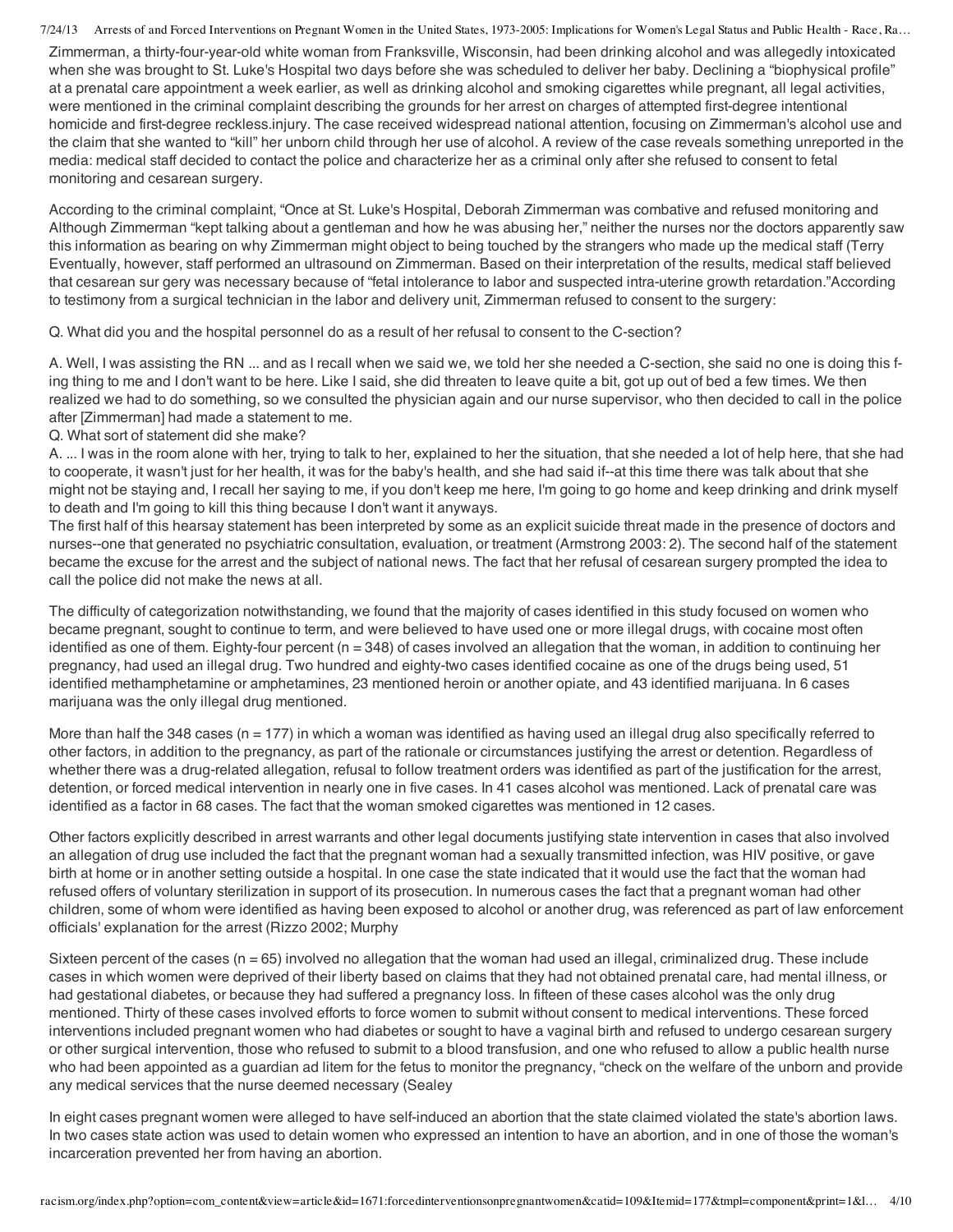Zimmerman, a thirty-four-year-old white woman from Franksville, Wisconsin, had been drinking alcohol and was allegedly intoxicated when she was brought to St. Luke's Hospital two days before she was scheduled to deliver her baby. Declining a "biophysical profile" at a prenatal care appointment a week earlier, as well as drinking alcohol and smoking cigarettes while pregnant, all legal activities, were mentioned in the criminal complaint describing the grounds for her arrest on charges of attempted first-degree intentional homicide and first-degree reckless.injury. The case received widespread national attention, focusing on Zimmerman's alcohol use and the claim that she wanted to "kill" her unborn child through her use of alcohol. A review of the case reveals something unreported in the media: medical staff decided to contact the police and characterize her as a criminal only after she refused to consent to fetal monitoring and cesarean surgery.

According to the criminal complaint, "Once at St. Luke's Hospital, Deborah Zimmerman was combative and refused monitoring and Although Zimmerman "kept talking about a gentleman and how he was abusing her," neither the nurses nor the doctors apparently saw this information as bearing on why Zimmerman might object to being touched by the strangers who made up the medical staff (Terry Eventually, however, staff performed an ultrasound on Zimmerman. Based on their interpretation of the results, medical staff believed that cesarean sur gery was necessary because of "fetal intolerance to labor and suspected intra-uterine growth retardation."According to testimony from a surgical technician in the labor and delivery unit, Zimmerman refused to consent to the surgery:

Q. What did you and the hospital personnel do as a result of her refusal to consent to the C-section?

A. Well, I was assisting the RN ... and as I recall when we said we, we told her she needed a C-section, she said no one is doing this fing thing to me and I don't want to be here. Like I said, she did threaten to leave quite a bit, got up out of bed a few times. We then realized we had to do something, so we consulted the physician again and our nurse supervisor, who then decided to call in the police after [Zimmerman] had made a statement to me.

Q. What sort of statement did she make?

A. ... I was in the room alone with her, trying to talk to her, explained to her the situation, that she needed a lot of help here, that she had to cooperate, it wasn't just for her health, it was for the baby's health, and she had said if--at this time there was talk about that she might not be staying and, I recall her saying to me, if you don't keep me here, I'm going to go home and keep drinking and drink myself to death and I'm going to kill this thing because I don't want it anyways.

The first half of this hearsay statement has been interpreted by some as an explicit suicide threat made in the presence of doctors and nurses--one that generated no psychiatric consultation, evaluation, or treatment (Armstrong 2003: 2). The second half of the statement became the excuse for the arrest and the subject of national news. The fact that her refusal of cesarean surgery prompted the idea to call the police did not make the news at all.

The difficulty of categorization notwithstanding, we found that the majority of cases identified in this study focused on women who became pregnant, sought to continue to term, and were believed to have used one or more illegal drugs, with cocaine most often identified as one of them. Eighty-four percent ( $n = 348$ ) of cases involved an allegation that the woman, in addition to continuing her pregnancy, had used an illegal drug. Two hundred and eighty-two cases identified cocaine as one of the drugs being used, 51 identified methamphetamine or amphetamines, 23 mentioned heroin or another opiate, and 43 identified marijuana. In 6 cases marijuana was the only illegal drug mentioned.

More than half the 348 cases (n = 177) in which a woman was identified as having used an illegal drug also specifically referred to other factors, in addition to the pregnancy, as part of the rationale or circumstances justifying the arrest or detention. Regardless of whether there was a drug-related allegation, refusal to follow treatment orders was identified as part of the justification for the arrest, detention, or forced medical intervention in nearly one in five cases. In 41 cases alcohol was mentioned. Lack of prenatal care was identified as a factor in 68 cases. The fact that the woman smoked cigarettes was mentioned in 12 cases.

Other factors explicitly described in arrest warrants and other legal documents justifying state intervention in cases that also involved an allegation of drug use included the fact that the pregnant woman had a sexually transmitted infection, was HIV positive, or gave birth at home or in another setting outside a hospital. In one case the state indicated that it would use the fact that the woman had refused offers of voluntary sterilization in support of its prosecution. In numerous cases the fact that a pregnant woman had other children, some of whom were identified as having been exposed to alcohol or another drug, was referenced as part of law enforcement officials' explanation for the arrest (Rizzo 2002; Murphy

Sixteen percent of the cases (n = 65) involved no allegation that the woman had used an illegal, criminalized drug. These include cases in which women were deprived of their liberty based on claims that they had not obtained prenatal care, had mental illness, or had gestational diabetes, or because they had suffered a pregnancy loss. In fifteen of these cases alcohol was the only drug mentioned. Thirty of these cases involved efforts to force women to submit without consent to medical interventions. These forced interventions included pregnant women who had diabetes or sought to have a vaginal birth and refused to undergo cesarean surgery or other surgical intervention, those who refused to submit to a blood transfusion, and one who refused to allow a public health nurse who had been appointed as a guardian ad litem for the fetus to monitor the pregnancy, "check on the welfare of the unborn and provide any medical services that the nurse deemed necessary (Sealey

In eight cases pregnant women were alleged to have self-induced an abortion that the state claimed violated the state's abortion laws. In two cases state action was used to detain women who expressed an intention to have an abortion, and in one of those the woman's incarceration prevented her from having an abortion.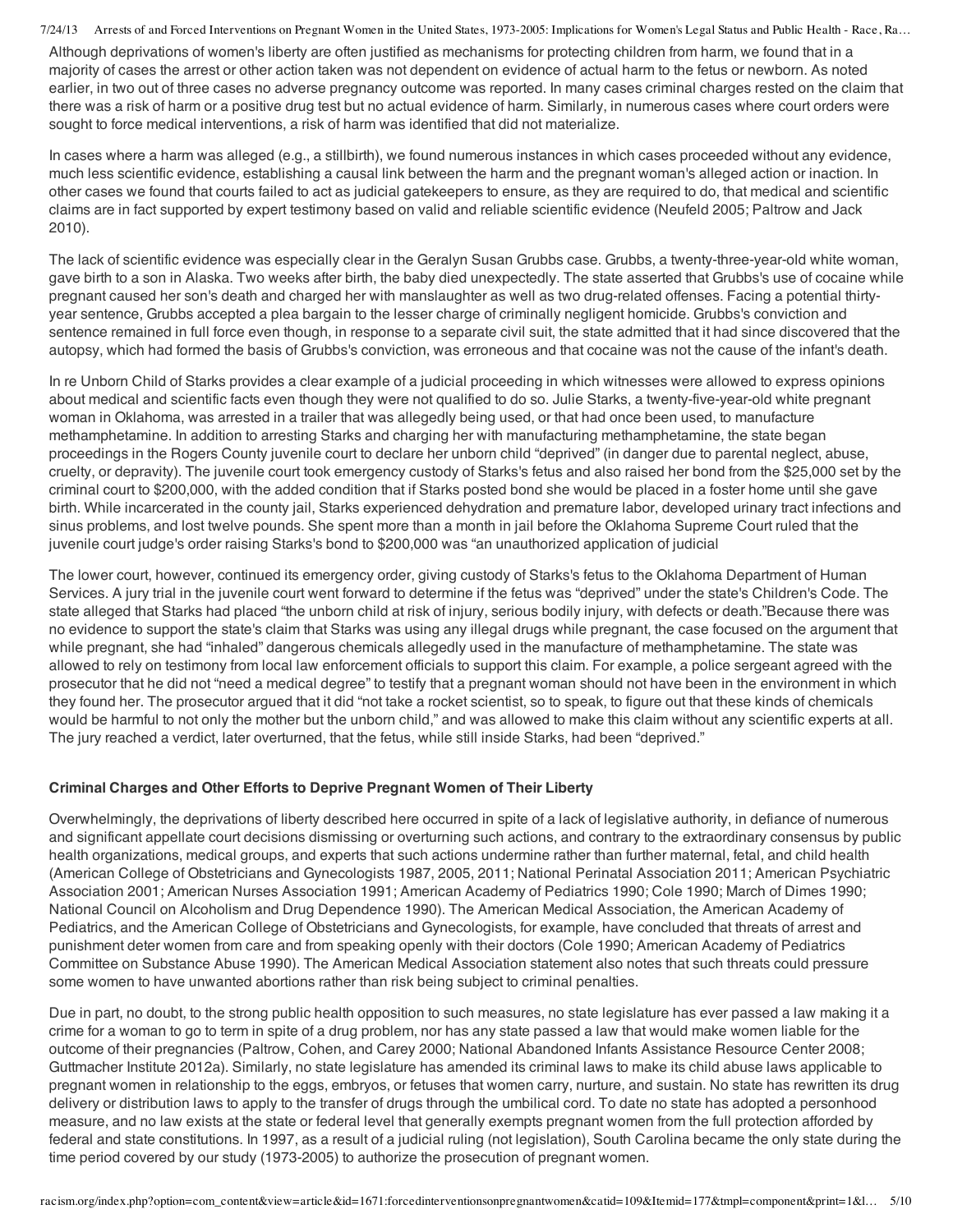Although deprivations of women's liberty are often justified as mechanisms for protecting children from harm, we found that in a majority of cases the arrest or other action taken was not dependent on evidence of actual harm to the fetus or newborn. As noted earlier, in two out of three cases no adverse pregnancy outcome was reported. In many cases criminal charges rested on the claim that there was a risk of harm or a positive drug test but no actual evidence of harm. Similarly, in numerous cases where court orders were sought to force medical interventions, a risk of harm was identified that did not materialize.

In cases where a harm was alleged (e.g., a stillbirth), we found numerous instances in which cases proceeded without any evidence, much less scientific evidence, establishing a causal link between the harm and the pregnant woman's alleged action or inaction. In other cases we found that courts failed to act as judicial gatekeepers to ensure, as they are required to do, that medical and scientific claims are in fact supported by expert testimony based on valid and reliable scientific evidence (Neufeld 2005; Paltrow and Jack 2010).

The lack of scientific evidence was especially clear in the Geralyn Susan Grubbs case. Grubbs, a twenty-three-year-old white woman, gave birth to a son in Alaska. Two weeks after birth, the baby died unexpectedly. The state asserted that Grubbs's use of cocaine while pregnant caused her son's death and charged her with manslaughter as well as two drug-related offenses. Facing a potential thirtyyear sentence, Grubbs accepted a plea bargain to the lesser charge of criminally negligent homicide. Grubbs's conviction and sentence remained in full force even though, in response to a separate civil suit, the state admitted that it had since discovered that the autopsy, which had formed the basis of Grubbs's conviction, was erroneous and that cocaine was not the cause of the infant's death.

In re Unborn Child of Starks provides a clear example of a judicial proceeding in which witnesses were allowed to express opinions about medical and scientific facts even though they were not qualified to do so. Julie Starks, a twenty-five-year-old white pregnant woman in Oklahoma, was arrested in a trailer that was allegedly being used, or that had once been used, to manufacture methamphetamine. In addition to arresting Starks and charging her with manufacturing methamphetamine, the state began proceedings in the Rogers County juvenile court to declare her unborn child "deprived" (in danger due to parental neglect, abuse, cruelty, or depravity). The juvenile court took emergency custody of Starks's fetus and also raised her bond from the \$25,000 set by the criminal court to \$200,000, with the added condition that if Starks posted bond she would be placed in a foster home until she gave birth. While incarcerated in the county jail, Starks experienced dehydration and premature labor, developed urinary tract infections and sinus problems, and lost twelve pounds. She spent more than a month in jail before the Oklahoma Supreme Court ruled that the juvenile court judge's order raising Starks's bond to \$200,000 was "an unauthorized application of judicial

The lower court, however, continued its emergency order, giving custody of Starks's fetus to the Oklahoma Department of Human Services. A jury trial in the juvenile court went forward to determine if the fetus was "deprived" under the state's Children's Code. The state alleged that Starks had placed "the unborn child at risk of injury, serious bodily injury, with defects or death."Because there was no evidence to support the state's claim that Starks was using any illegal drugs while pregnant, the case focused on the argument that while pregnant, she had "inhaled" dangerous chemicals allegedly used in the manufacture of methamphetamine. The state was allowed to rely on testimony from local law enforcement officials to support this claim. For example, a police sergeant agreed with the prosecutor that he did not "need a medical degree" to testify that a pregnant woman should not have been in the environment in which they found her. The prosecutor argued that it did "not take a rocket scientist, so to speak, to figure out that these kinds of chemicals would be harmful to not only the mother but the unborn child," and was allowed to make this claim without any scientific experts at all. The jury reached a verdict, later overturned, that the fetus, while still inside Starks, had been "deprived."

# **Criminal Charges and Other Efforts to Deprive Pregnant Women of Their Liberty**

Overwhelmingly, the deprivations of liberty described here occurred in spite of a lack of legislative authority, in defiance of numerous and significant appellate court decisions dismissing or overturning such actions, and contrary to the extraordinary consensus by public health organizations, medical groups, and experts that such actions undermine rather than further maternal, fetal, and child health (American College of Obstetricians and Gynecologists 1987, 2005, 2011; National Perinatal Association 2011; American Psychiatric Association 2001; American Nurses Association 1991; American Academy of Pediatrics 1990; Cole 1990; March of Dimes 1990; National Council on Alcoholism and Drug Dependence 1990). The American Medical Association, the American Academy of Pediatrics, and the American College of Obstetricians and Gynecologists, for example, have concluded that threats of arrest and punishment deter women from care and from speaking openly with their doctors (Cole 1990; American Academy of Pediatrics Committee on Substance Abuse 1990). The American Medical Association statement also notes that such threats could pressure some women to have unwanted abortions rather than risk being subject to criminal penalties.

Due in part, no doubt, to the strong public health opposition to such measures, no state legislature has ever passed a law making it a crime for a woman to go to term in spite of a drug problem, nor has any state passed a law that would make women liable for the outcome of their pregnancies (Paltrow, Cohen, and Carey 2000; National Abandoned Infants Assistance Resource Center 2008; Guttmacher Institute 2012a). Similarly, no state legislature has amended its criminal laws to make its child abuse laws applicable to pregnant women in relationship to the eggs, embryos, or fetuses that women carry, nurture, and sustain. No state has rewritten its drug delivery or distribution laws to apply to the transfer of drugs through the umbilical cord. To date no state has adopted a personhood measure, and no law exists at the state or federal level that generally exempts pregnant women from the full protection afforded by federal and state constitutions. In 1997, as a result of a judicial ruling (not legislation), South Carolina became the only state during the time period covered by our study (1973-2005) to authorize the prosecution of pregnant women.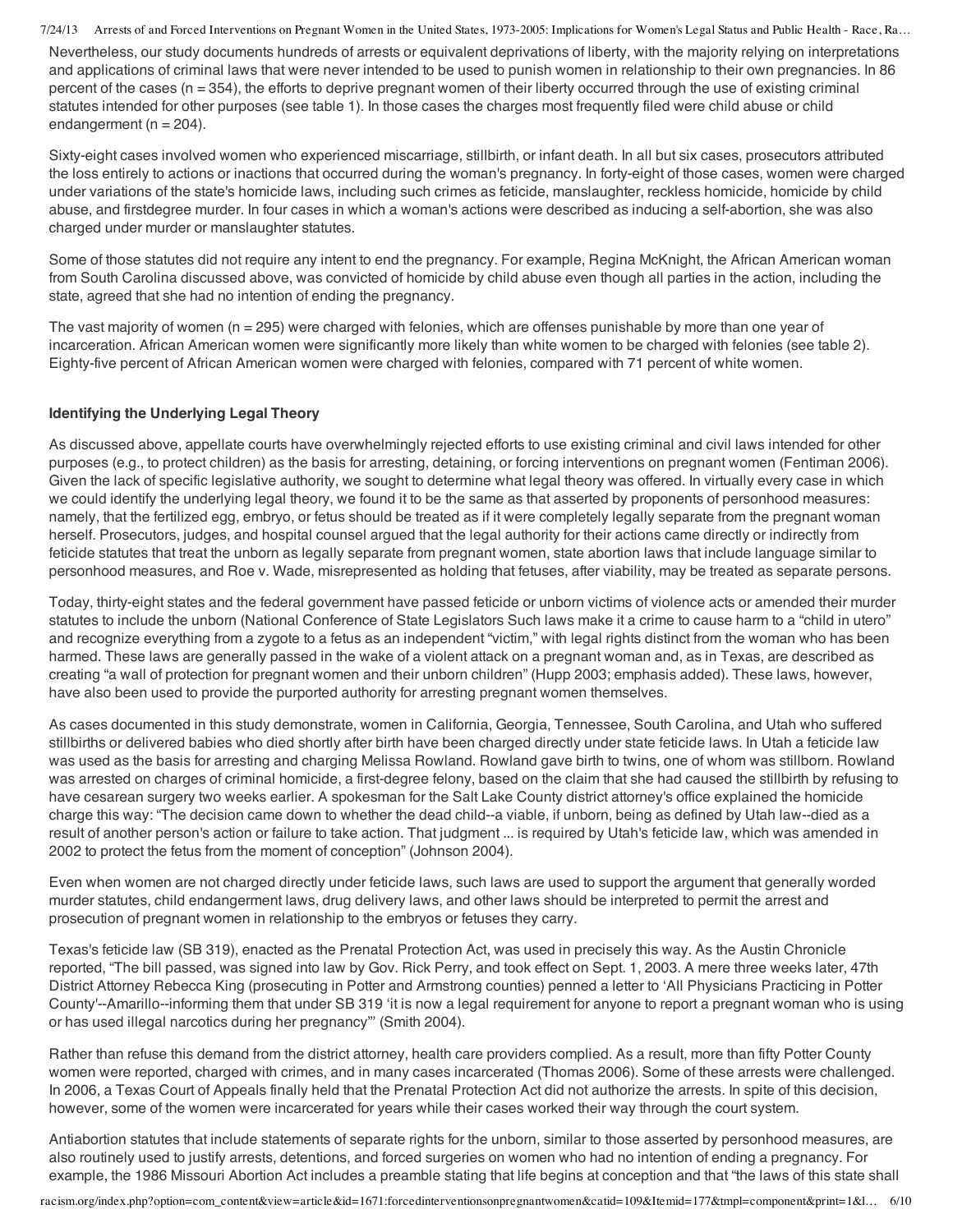Nevertheless, our study documents hundreds of arrests or equivalent deprivations of liberty, with the majority relying on interpretations and applications of criminal laws that were never intended to be used to punish women in relationship to their own pregnancies. In 86 percent of the cases (n = 354), the efforts to deprive pregnant women of their liberty occurred through the use of existing criminal statutes intended for other purposes (see table 1). In those cases the charges most frequently filed were child abuse or child endangerment ( $n = 204$ ).

Sixty-eight cases involved women who experienced miscarriage, stillbirth, or infant death. In all but six cases, prosecutors attributed the loss entirely to actions or inactions that occurred during the woman's pregnancy. In forty-eight of those cases, women were charged under variations of the state's homicide laws, including such crimes as feticide, manslaughter, reckless homicide, homicide by child abuse, and firstdegree murder. In four cases in which a woman's actions were described as inducing a self-abortion, she was also charged under murder or manslaughter statutes.

Some of those statutes did not require any intent to end the pregnancy. For example, Regina McKnight, the African American woman from South Carolina discussed above, was convicted of homicide by child abuse even though all parties in the action, including the state, agreed that she had no intention of ending the pregnancy.

The vast majority of women (n = 295) were charged with felonies, which are offenses punishable by more than one year of incarceration. African American women were significantly more likely than white women to be charged with felonies (see table 2). Eighty-five percent of African American women were charged with felonies, compared with 71 percent of white women.

# **Identifying the Underlying Legal Theory**

As discussed above, appellate courts have overwhelmingly rejected efforts to use existing criminal and civil laws intended for other purposes (e.g., to protect children) as the basis for arresting, detaining, or forcing interventions on pregnant women (Fentiman 2006). Given the lack of specific legislative authority, we sought to determine what legal theory was offered. In virtually every case in which we could identify the underlying legal theory, we found it to be the same as that asserted by proponents of personhood measures: namely, that the fertilized egg, embryo, or fetus should be treated as if it were completely legally separate from the pregnant woman herself. Prosecutors, judges, and hospital counsel argued that the legal authority for their actions came directly or indirectly from feticide statutes that treat the unborn as legally separate from pregnant women, state abortion laws that include language similar to personhood measures, and Roe v. Wade, misrepresented as holding that fetuses, after viability, may be treated as separate persons.

Today, thirty-eight states and the federal government have passed feticide or unborn victims of violence acts or amended their murder statutes to include the unborn (National Conference of State Legislators Such laws make it a crime to cause harm to a "child in utero" and recognize everything from a zygote to a fetus as an independent "victim," with legal rights distinct from the woman who has been harmed. These laws are generally passed in the wake of a violent attack on a pregnant woman and, as in Texas, are described as creating "a wall of protection for pregnant women and their unborn children" (Hupp 2003; emphasis added). These laws, however, have also been used to provide the purported authority for arresting pregnant women themselves.

As cases documented in this study demonstrate, women in California, Georgia, Tennessee, South Carolina, and Utah who suffered stillbirths or delivered babies who died shortly after birth have been charged directly under state feticide laws. In Utah a feticide law was used as the basis for arresting and charging Melissa Rowland. Rowland gave birth to twins, one of whom was stillborn. Rowland was arrested on charges of criminal homicide, a first-degree felony, based on the claim that she had caused the stillbirth by refusing to have cesarean surgery two weeks earlier. A spokesman for the Salt Lake County district attorney's office explained the homicide charge this way: "The decision came down to whether the dead child--a viable, if unborn, being as defined by Utah law--died as a result of another person's action or failure to take action. That judgment ... is required by Utah's feticide law, which was amended in 2002 to protect the fetus from the moment of conception" (Johnson 2004).

Even when women are not charged directly under feticide laws, such laws are used to support the argument that generally worded murder statutes, child endangerment laws, drug delivery laws, and other laws should be interpreted to permit the arrest and prosecution of pregnant women in relationship to the embryos or fetuses they carry.

Texas's feticide law (SB 319), enacted as the Prenatal Protection Act, was used in precisely this way. As the Austin Chronicle reported, "The bill passed, was signed into law by Gov. Rick Perry, and took effect on Sept. 1, 2003. A mere three weeks later, 47th District Attorney Rebecca King (prosecuting in Potter and Armstrong counties) penned a letter to 'All Physicians Practicing in Potter County'--Amarillo--informing them that under SB 319 'it is now a legal requirement for anyone to report a pregnant woman who is using or has used illegal narcotics during her pregnancy"' (Smith 2004).

Rather than refuse this demand from the district attorney, health care providers complied. As a result, more than fifty Potter County women were reported, charged with crimes, and in many cases incarcerated (Thomas 2006). Some of these arrests were challenged. In 2006, a Texas Court of Appeals finally held that the Prenatal Protection Act did not authorize the arrests. In spite of this decision, however, some of the women were incarcerated for years while their cases worked their way through the court system.

Antiabortion statutes that include statements of separate rights for the unborn, similar to those asserted by personhood measures, are also routinely used to justify arrests, detentions, and forced surgeries on women who had no intention of ending a pregnancy. For example, the 1986 Missouri Abortion Act includes a preamble stating that life begins at conception and that "the laws of this state shall

racism.org/index.php?option=com\_content&view=article&id=1671:forcedinterventionsonpregnantwomen&catid=109&Itemid=177&tmpl=component&print=1&l… 6/10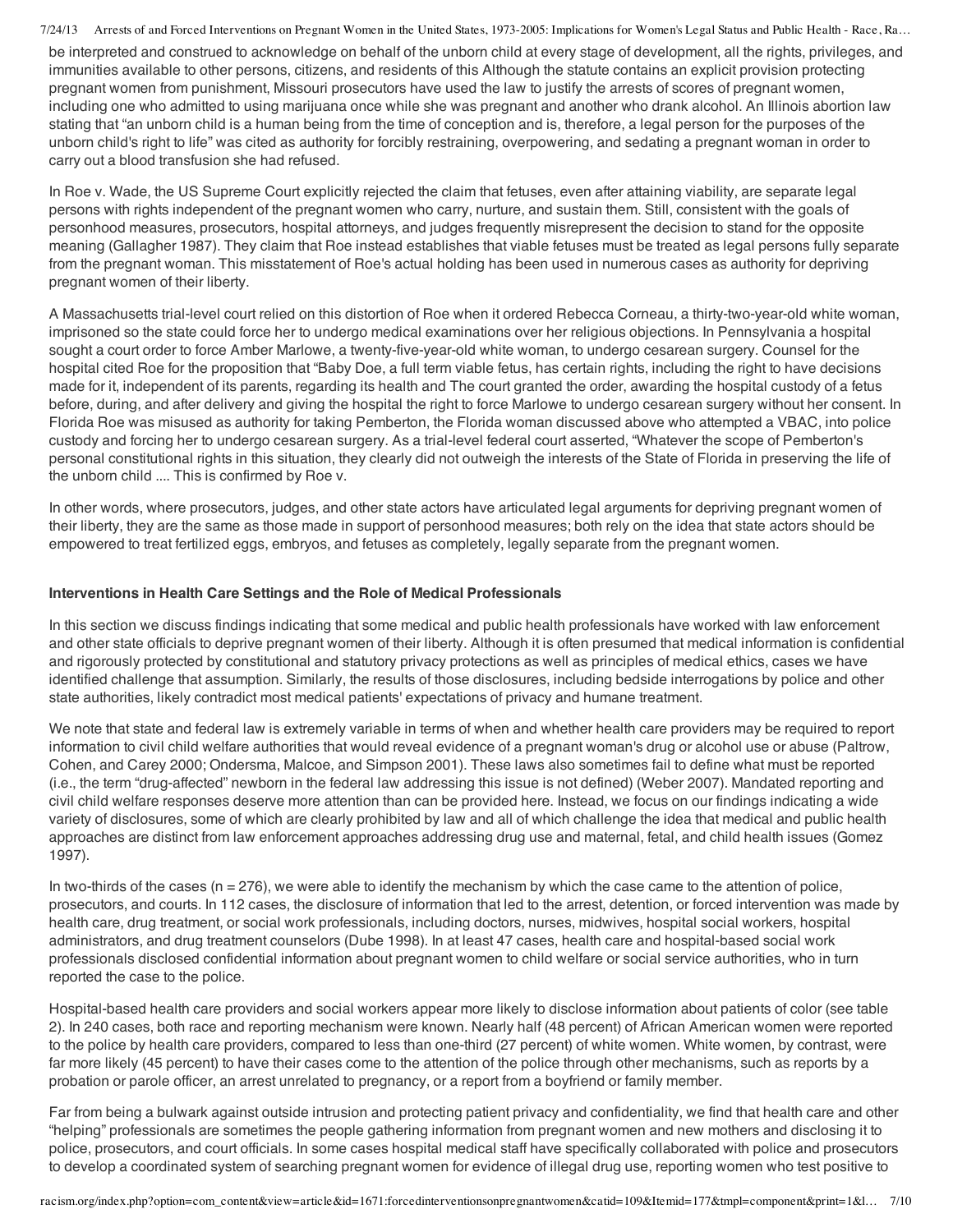be interpreted and construed to acknowledge on behalf of the unborn child at every stage of development, all the rights, privileges, and immunities available to other persons, citizens, and residents of this Although the statute contains an explicit provision protecting pregnant women from punishment, Missouri prosecutors have used the law to justify the arrests of scores of pregnant women, including one who admitted to using marijuana once while she was pregnant and another who drank alcohol. An Illinois abortion law stating that "an unborn child is a human being from the time of conception and is, therefore, a legal person for the purposes of the unborn child's right to life" was cited as authority for forcibly restraining, overpowering, and sedating a pregnant woman in order to carry out a blood transfusion she had refused.

In Roe v. Wade, the US Supreme Court explicitly rejected the claim that fetuses, even after attaining viability, are separate legal persons with rights independent of the pregnant women who carry, nurture, and sustain them. Still, consistent with the goals of personhood measures, prosecutors, hospital attorneys, and judges frequently misrepresent the decision to stand for the opposite meaning (Gallagher 1987). They claim that Roe instead establishes that viable fetuses must be treated as legal persons fully separate from the pregnant woman. This misstatement of Roe's actual holding has been used in numerous cases as authority for depriving pregnant women of their liberty.

A Massachusetts trial-level court relied on this distortion of Roe when it ordered Rebecca Corneau, a thirty-two-year-old white woman, imprisoned so the state could force her to undergo medical examinations over her religious objections. In Pennsylvania a hospital sought a court order to force Amber Marlowe, a twenty-five-year-old white woman, to undergo cesarean surgery. Counsel for the hospital cited Roe for the proposition that "Baby Doe, a full term viable fetus, has certain rights, including the right to have decisions made for it, independent of its parents, regarding its health and The court granted the order, awarding the hospital custody of a fetus before, during, and after delivery and giving the hospital the right to force Marlowe to undergo cesarean surgery without her consent. In Florida Roe was misused as authority for taking Pemberton, the Florida woman discussed above who attempted a VBAC, into police custody and forcing her to undergo cesarean surgery. As a trial-level federal court asserted, "Whatever the scope of Pemberton's personal constitutional rights in this situation, they clearly did not outweigh the interests of the State of Florida in preserving the life of the unborn child .... This is confirmed by Roe v.

In other words, where prosecutors, judges, and other state actors have articulated legal arguments for depriving pregnant women of their liberty, they are the same as those made in support of personhood measures; both rely on the idea that state actors should be empowered to treat fertilized eggs, embryos, and fetuses as completely, legally separate from the pregnant women.

# **Interventions in Health Care Settings and the Role of Medical Professionals**

In this section we discuss findings indicating that some medical and public health professionals have worked with law enforcement and other state officials to deprive pregnant women of their liberty. Although it is often presumed that medical information is confidential and rigorously protected by constitutional and statutory privacy protections as well as principles of medical ethics, cases we have identified challenge that assumption. Similarly, the results of those disclosures, including bedside interrogations by police and other state authorities, likely contradict most medical patients' expectations of privacy and humane treatment.

We note that state and federal law is extremely variable in terms of when and whether health care providers may be required to report information to civil child welfare authorities that would reveal evidence of a pregnant woman's drug or alcohol use or abuse (Paltrow, Cohen, and Carey 2000; Ondersma, Malcoe, and Simpson 2001). These laws also sometimes fail to define what must be reported (i.e., the term "drug-affected" newborn in the federal law addressing this issue is not defined) (Weber 2007). Mandated reporting and civil child welfare responses deserve more attention than can be provided here. Instead, we focus on our findings indicating a wide variety of disclosures, some of which are clearly prohibited by law and all of which challenge the idea that medical and public health approaches are distinct from law enforcement approaches addressing drug use and maternal, fetal, and child health issues (Gomez 1997).

In two-thirds of the cases ( $n = 276$ ), we were able to identify the mechanism by which the case came to the attention of police, prosecutors, and courts. In 112 cases, the disclosure of information that led to the arrest, detention, or forced intervention was made by health care, drug treatment, or social work professionals, including doctors, nurses, midwives, hospital social workers, hospital administrators, and drug treatment counselors (Dube 1998). In at least 47 cases, health care and hospital-based social work professionals disclosed confidential information about pregnant women to child welfare or social service authorities, who in turn reported the case to the police.

Hospital-based health care providers and social workers appear more likely to disclose information about patients of color (see table 2). In 240 cases, both race and reporting mechanism were known. Nearly half (48 percent) of African American women were reported to the police by health care providers, compared to less than one-third (27 percent) of white women. White women, by contrast, were far more likely (45 percent) to have their cases come to the attention of the police through other mechanisms, such as reports by a probation or parole officer, an arrest unrelated to pregnancy, or a report from a boyfriend or family member.

Far from being a bulwark against outside intrusion and protecting patient privacy and confidentiality, we find that health care and other "helping" professionals are sometimes the people gathering information from pregnant women and new mothers and disclosing it to police, prosecutors, and court officials. In some cases hospital medical staff have specifically collaborated with police and prosecutors to develop a coordinated system of searching pregnant women for evidence of illegal drug use, reporting women who test positive to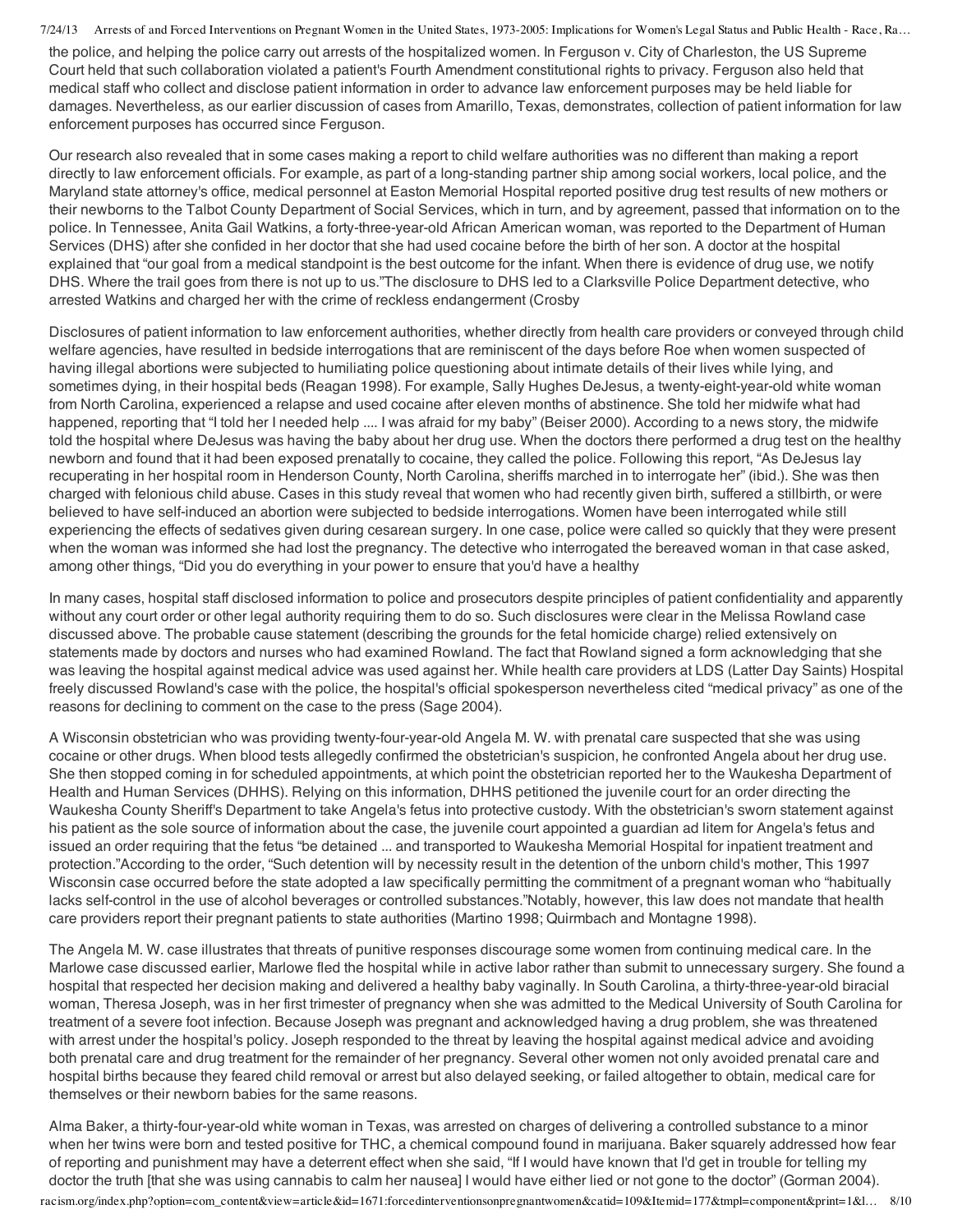the police, and helping the police carry out arrests of the hospitalized women. In Ferguson v. City of Charleston, the US Supreme Court held that such collaboration violated a patient's Fourth Amendment constitutional rights to privacy. Ferguson also held that medical staff who collect and disclose patient information in order to advance law enforcement purposes may be held liable for damages. Nevertheless, as our earlier discussion of cases from Amarillo, Texas, demonstrates, collection of patient information for law enforcement purposes has occurred since Ferguson.

Our research also revealed that in some cases making a report to child welfare authorities was no different than making a report directly to law enforcement officials. For example, as part of a long-standing partner ship among social workers, local police, and the Maryland state attorney's office, medical personnel at Easton Memorial Hospital reported positive drug test results of new mothers or their newborns to the Talbot County Department of Social Services, which in turn, and by agreement, passed that information on to the police. In Tennessee, Anita Gail Watkins, a forty-three-year-old African American woman, was reported to the Department of Human Services (DHS) after she confided in her doctor that she had used cocaine before the birth of her son. A doctor at the hospital explained that "our goal from a medical standpoint is the best outcome for the infant. When there is evidence of drug use, we notify DHS. Where the trail goes from there is not up to us."The disclosure to DHS led to a Clarksville Police Department detective, who arrested Watkins and charged her with the crime of reckless endangerment (Crosby

Disclosures of patient information to law enforcement authorities, whether directly from health care providers or conveyed through child welfare agencies, have resulted in bedside interrogations that are reminiscent of the days before Roe when women suspected of having illegal abortions were subjected to humiliating police questioning about intimate details of their lives while lying, and sometimes dying, in their hospital beds (Reagan 1998). For example, Sally Hughes DeJesus, a twenty-eight-year-old white woman from North Carolina, experienced a relapse and used cocaine after eleven months of abstinence. She told her midwife what had happened, reporting that "I told her I needed help .... I was afraid for my baby" (Beiser 2000). According to a news story, the midwife told the hospital where DeJesus was having the baby about her drug use. When the doctors there performed a drug test on the healthy newborn and found that it had been exposed prenatally to cocaine, they called the police. Following this report, "As DeJesus lay recuperating in her hospital room in Henderson County, North Carolina, sheriffs marched in to interrogate her" (ibid.). She was then charged with felonious child abuse. Cases in this study reveal that women who had recently given birth, suffered a stillbirth, or were believed to have self-induced an abortion were subjected to bedside interrogations. Women have been interrogated while still experiencing the effects of sedatives given during cesarean surgery. In one case, police were called so quickly that they were present when the woman was informed she had lost the pregnancy. The detective who interrogated the bereaved woman in that case asked, among other things, "Did you do everything in your power to ensure that you'd have a healthy

In many cases, hospital staff disclosed information to police and prosecutors despite principles of patient confidentiality and apparently without any court order or other legal authority requiring them to do so. Such disclosures were clear in the Melissa Rowland case discussed above. The probable cause statement (describing the grounds for the fetal homicide charge) relied extensively on statements made by doctors and nurses who had examined Rowland. The fact that Rowland signed a form acknowledging that she was leaving the hospital against medical advice was used against her. While health care providers at LDS (Latter Day Saints) Hospital freely discussed Rowland's case with the police, the hospital's official spokesperson nevertheless cited "medical privacy" as one of the reasons for declining to comment on the case to the press (Sage 2004).

A Wisconsin obstetrician who was providing twenty-four-year-old Angela M. W. with prenatal care suspected that she was using cocaine or other drugs. When blood tests allegedly confirmed the obstetrician's suspicion, he confronted Angela about her drug use. She then stopped coming in for scheduled appointments, at which point the obstetrician reported her to the Waukesha Department of Health and Human Services (DHHS). Relying on this information, DHHS petitioned the juvenile court for an order directing the Waukesha County Sheriff's Department to take Angela's fetus into protective custody. With the obstetrician's sworn statement against his patient as the sole source of information about the case, the juvenile court appointed a guardian ad litem for Angela's fetus and issued an order requiring that the fetus "be detained ... and transported to Waukesha Memorial Hospital for inpatient treatment and protection."According to the order, "Such detention will by necessity result in the detention of the unborn child's mother, This 1997 Wisconsin case occurred before the state adopted a law specifically permitting the commitment of a pregnant woman who "habitually lacks self-control in the use of alcohol beverages or controlled substances."Notably, however, this law does not mandate that health care providers report their pregnant patients to state authorities (Martino 1998; Quirmbach and Montagne 1998).

The Angela M. W. case illustrates that threats of punitive responses discourage some women from continuing medical care. In the Marlowe case discussed earlier, Marlowe fled the hospital while in active labor rather than submit to unnecessary surgery. She found a hospital that respected her decision making and delivered a healthy baby vaginally. In South Carolina, a thirty-three-year-old biracial woman, Theresa Joseph, was in her first trimester of pregnancy when she was admitted to the Medical University of South Carolina for treatment of a severe foot infection. Because Joseph was pregnant and acknowledged having a drug problem, she was threatened with arrest under the hospital's policy. Joseph responded to the threat by leaving the hospital against medical advice and avoiding both prenatal care and drug treatment for the remainder of her pregnancy. Several other women not only avoided prenatal care and hospital births because they feared child removal or arrest but also delayed seeking, or failed altogether to obtain, medical care for themselves or their newborn babies for the same reasons.

racism.org/index.php?option=com\_content&view=article&id=1671:forcedinterventionsonpregnantwomen&catid=109&Itemid=177&tmpl=component&print=1&l… 8/10 Alma Baker, a thirty-four-year-old white woman in Texas, was arrested on charges of delivering a controlled substance to a minor when her twins were born and tested positive for THC, a chemical compound found in marijuana. Baker squarely addressed how fear of reporting and punishment may have a deterrent effect when she said, "If I would have known that I'd get in trouble for telling my doctor the truth [that she was using cannabis to calm her nausea] I would have either lied or not gone to the doctor" (Gorman 2004).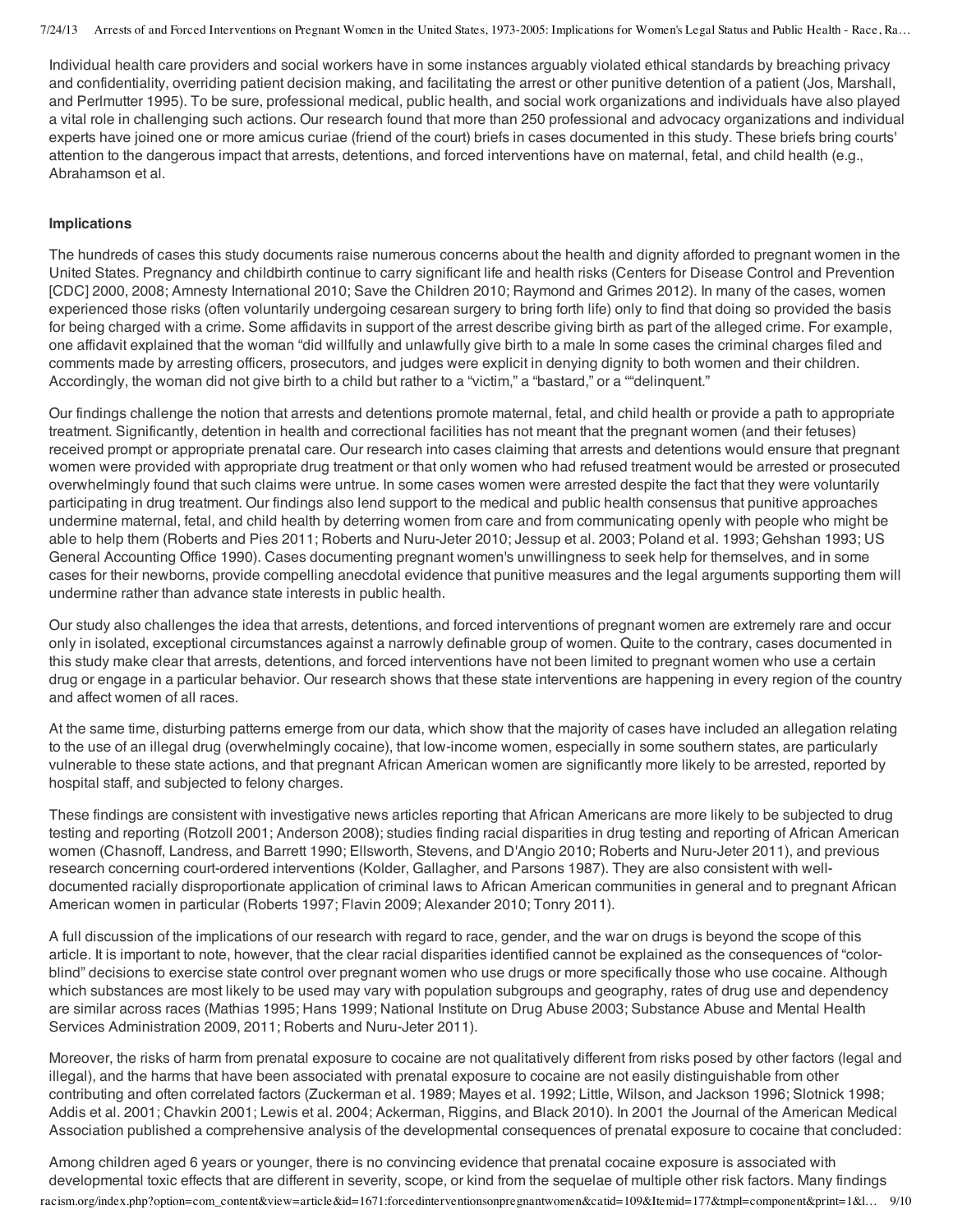Individual health care providers and social workers have in some instances arguably violated ethical standards by breaching privacy and confidentiality, overriding patient decision making, and facilitating the arrest or other punitive detention of a patient (Jos, Marshall, and Perlmutter 1995). To be sure, professional medical, public health, and social work organizations and individuals have also played a vital role in challenging such actions. Our research found that more than 250 professional and advocacy organizations and individual experts have joined one or more amicus curiae (friend of the court) briefs in cases documented in this study. These briefs bring courts' attention to the dangerous impact that arrests, detentions, and forced interventions have on maternal, fetal, and child health (e.g., Abrahamson et al.

#### **Implications**

The hundreds of cases this study documents raise numerous concerns about the health and dignity afforded to pregnant women in the United States. Pregnancy and childbirth continue to carry significant life and health risks (Centers for Disease Control and Prevention [CDC] 2000, 2008; Amnesty International 2010; Save the Children 2010; Raymond and Grimes 2012). In many of the cases, women experienced those risks (often voluntarily undergoing cesarean surgery to bring forth life) only to find that doing so provided the basis for being charged with a crime. Some affidavits in support of the arrest describe giving birth as part of the alleged crime. For example, one affidavit explained that the woman "did willfully and unlawfully give birth to a male In some cases the criminal charges filed and comments made by arresting officers, prosecutors, and judges were explicit in denying dignity to both women and their children. Accordingly, the woman did not give birth to a child but rather to a "victim," a "bastard," or a ""delinquent."

Our findings challenge the notion that arrests and detentions promote maternal, fetal, and child health or provide a path to appropriate treatment. Significantly, detention in health and correctional facilities has not meant that the pregnant women (and their fetuses) received prompt or appropriate prenatal care. Our research into cases claiming that arrests and detentions would ensure that pregnant women were provided with appropriate drug treatment or that only women who had refused treatment would be arrested or prosecuted overwhelmingly found that such claims were untrue. In some cases women were arrested despite the fact that they were voluntarily participating in drug treatment. Our findings also lend support to the medical and public health consensus that punitive approaches undermine maternal, fetal, and child health by deterring women from care and from communicating openly with people who might be able to help them (Roberts and Pies 2011; Roberts and Nuru-Jeter 2010; Jessup et al. 2003; Poland et al. 1993; Gehshan 1993; US General Accounting Office 1990). Cases documenting pregnant women's unwillingness to seek help for themselves, and in some cases for their newborns, provide compelling anecdotal evidence that punitive measures and the legal arguments supporting them will undermine rather than advance state interests in public health.

Our study also challenges the idea that arrests, detentions, and forced interventions of pregnant women are extremely rare and occur only in isolated, exceptional circumstances against a narrowly definable group of women. Quite to the contrary, cases documented in this study make clear that arrests, detentions, and forced interventions have not been limited to pregnant women who use a certain drug or engage in a particular behavior. Our research shows that these state interventions are happening in every region of the country and affect women of all races.

At the same time, disturbing patterns emerge from our data, which show that the majority of cases have included an allegation relating to the use of an illegal drug (overwhelmingly cocaine), that low-income women, especially in some southern states, are particularly vulnerable to these state actions, and that pregnant African American women are significantly more likely to be arrested, reported by hospital staff, and subjected to felony charges.

These findings are consistent with investigative news articles reporting that African Americans are more likely to be subjected to drug testing and reporting (Rotzoll 2001; Anderson 2008); studies finding racial disparities in drug testing and reporting of African American women (Chasnoff, Landress, and Barrett 1990; Ellsworth, Stevens, and D'Angio 2010; Roberts and Nuru-Jeter 2011), and previous research concerning court-ordered interventions (Kolder, Gallagher, and Parsons 1987). They are also consistent with welldocumented racially disproportionate application of criminal laws to African American communities in general and to pregnant African American women in particular (Roberts 1997; Flavin 2009; Alexander 2010; Tonry 2011).

A full discussion of the implications of our research with regard to race, gender, and the war on drugs is beyond the scope of this article. It is important to note, however, that the clear racial disparities identified cannot be explained as the consequences of "colorblind" decisions to exercise state control over pregnant women who use drugs or more specifically those who use cocaine. Although which substances are most likely to be used may vary with population subgroups and geography, rates of drug use and dependency are similar across races (Mathias 1995; Hans 1999; National Institute on Drug Abuse 2003; Substance Abuse and Mental Health Services Administration 2009, 2011; Roberts and Nuru-Jeter 2011).

Moreover, the risks of harm from prenatal exposure to cocaine are not qualitatively different from risks posed by other factors (legal and illegal), and the harms that have been associated with prenatal exposure to cocaine are not easily distinguishable from other contributing and often correlated factors (Zuckerman et al. 1989; Mayes et al. 1992; Little, Wilson, and Jackson 1996; Slotnick 1998; Addis et al. 2001; Chavkin 2001; Lewis et al. 2004; Ackerman, Riggins, and Black 2010). In 2001 the Journal of the American Medical Association published a comprehensive analysis of the developmental consequences of prenatal exposure to cocaine that concluded:

racism.org/index.php?option=com\_content&view=article&id=1671:forcedinterventionsonpregnantwomen&catid=109&Itemid=177&tmpl=component&print=1&l… 9/10 Among children aged 6 years or younger, there is no convincing evidence that prenatal cocaine exposure is associated with developmental toxic effects that are different in severity, scope, or kind from the sequelae of multiple other risk factors. Many findings